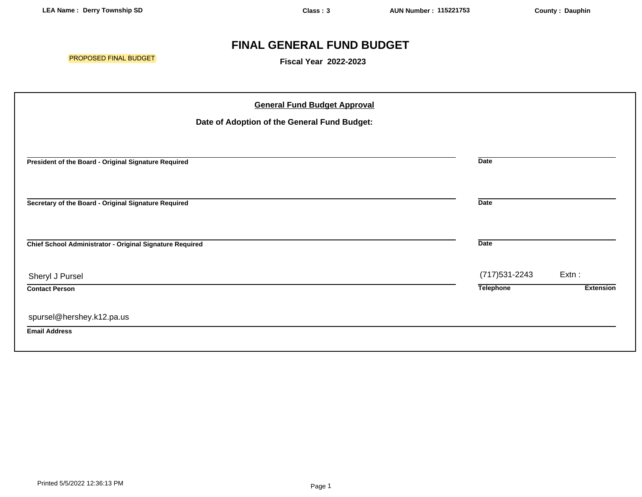## **FINAL GENERAL FUND BUDGET**

PROPOSED FINAL BUDGET

**Fiscal Year 2022-2023**

| <b>General Fund Budget Approval</b>                      |                  |                  |
|----------------------------------------------------------|------------------|------------------|
| Date of Adoption of the General Fund Budget:             |                  |                  |
|                                                          |                  |                  |
| President of the Board - Original Signature Required     | <b>Date</b>      |                  |
| Secretary of the Board - Original Signature Required     | <b>Date</b>      |                  |
| Chief School Administrator - Original Signature Required | <b>Date</b>      |                  |
| Sheryl J Pursel                                          | (717) 531-2243   | Extn:            |
| <b>Contact Person</b>                                    | <b>Telephone</b> | <b>Extension</b> |
| spursel@hershey.k12.pa.us                                |                  |                  |
| <b>Email Address</b>                                     |                  |                  |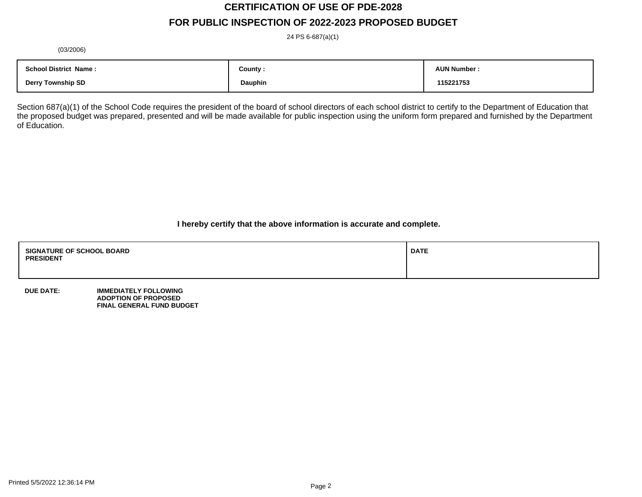# **CERTIFICATION OF USE OF PDE-2028**

## **FOR PUBLIC INSPECTION OF 2022-2023 PROPOSED BUDGET**

24 PS 6-687(a)(1)

(03/2006)

| <b>School District Name:</b> | County : | <b>AUN Number:</b> |
|------------------------------|----------|--------------------|
| <b>Derry Township SD</b>     | Dauphin  | 115221753          |

Section 687(a)(1) of the School Code requires the president of the board of school directors of each school district to certify to the Department of Education that the proposed budget was prepared, presented and will be made available for public inspection using the uniform form prepared and furnished by the Department of Education.

**I hereby certify that the above information is accurate and complete.**

| <b>SIGNATURE OF SCHOOL BOARD</b><br><b>PRESIDENT</b> | <b>DATE</b> |
|------------------------------------------------------|-------------|
|                                                      |             |

**DUE DATE: IMMEDIATELY FOLLOWING ADOPTION OF PROPOSED FINAL GENERAL FUND BUDGET**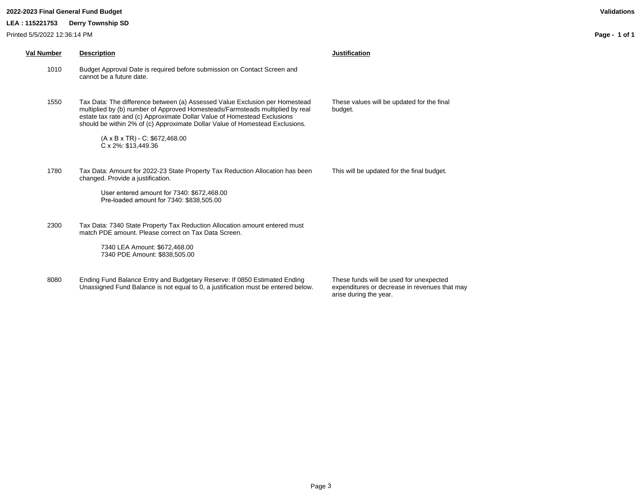#### **2022-2023 Final General Fund Budget Validations**

**LEA : 115221753 Derry Township SD**

**Page - 1 of 1**

| Val Number | <b>Description</b>                                                                                                                                                                                                                                                                                                                                                                                      | <b>Justification</b>              |
|------------|---------------------------------------------------------------------------------------------------------------------------------------------------------------------------------------------------------------------------------------------------------------------------------------------------------------------------------------------------------------------------------------------------------|-----------------------------------|
| 1010       | Budget Approval Date is required before submission on Contact Screen and<br>cannot be a future date.                                                                                                                                                                                                                                                                                                    |                                   |
| 1550       | Tax Data: The difference between (a) Assessed Value Exclusion per Homestead<br>multiplied by (b) number of Approved Homesteads/Farmsteads multiplied by real<br>estate tax rate and (c) Approximate Dollar Value of Homestead Exclusions<br>should be within 2% of (c) Approximate Dollar Value of Homestead Exclusions.<br>$(A \times B \times TR) - C$ : \$672,468.00<br>$C \times 2\%$ : \$13,449.36 | These values will be u<br>budget. |
| 1780       | Tax Data: Amount for 2022-23 State Property Tax Reduction Allocation has been<br>changed. Provide a justification.<br>User entered amount for 7340: \$672,468.00<br>Pre-loaded amount for 7340: \$838,505.00                                                                                                                                                                                            | This will be updated fo           |
| 2300       | Tax Data: 7340 State Property Tax Reduction Allocation amount entered must<br>match PDE amount. Please correct on Tax Data Screen.<br>7340 LEA Amount: \$672,468.00<br>7340 PDE Amount: \$838,505.00                                                                                                                                                                                                    |                                   |
|            |                                                                                                                                                                                                                                                                                                                                                                                                         |                                   |

8080 Ending Fund Balance Entry and Budgetary Reserve: If 0850 Estimated Ending Unassigned Fund Balance is not equal to 0, a justification must be entered below. These funds will be used for unexpected expenditures or decrease in revenues that may arise during the year.

updated for the final

or the final budget.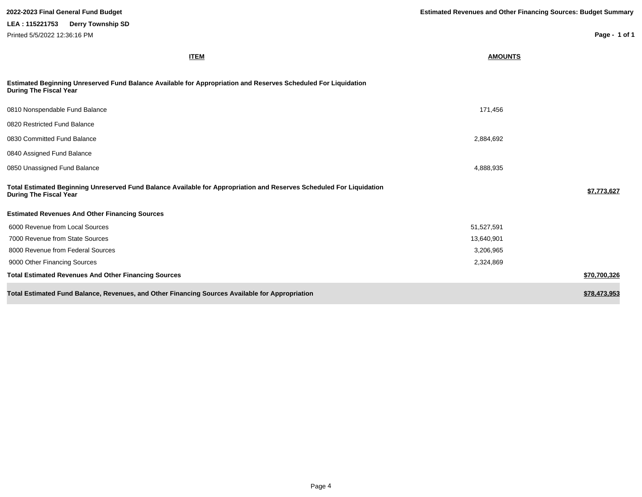| 2022-2023 Final General Fund Budget                                                                                                                   | <b>Estimated Revenues and Other Financing Sources: Budget Summary</b> |               |  |
|-------------------------------------------------------------------------------------------------------------------------------------------------------|-----------------------------------------------------------------------|---------------|--|
| LEA: 115221753<br><b>Derry Township SD</b>                                                                                                            |                                                                       |               |  |
| Printed 5/5/2022 12:36:16 PM                                                                                                                          |                                                                       | Page - 1 of 1 |  |
| <b>ITEM</b>                                                                                                                                           | <b>AMOUNTS</b>                                                        |               |  |
| Estimated Beginning Unreserved Fund Balance Available for Appropriation and Reserves Scheduled For Liquidation<br><b>During The Fiscal Year</b>       |                                                                       |               |  |
| 0810 Nonspendable Fund Balance                                                                                                                        | 171,456                                                               |               |  |
| 0820 Restricted Fund Balance                                                                                                                          |                                                                       |               |  |
| 0830 Committed Fund Balance                                                                                                                           | 2,884,692                                                             |               |  |
| 0840 Assigned Fund Balance                                                                                                                            |                                                                       |               |  |
| 0850 Unassigned Fund Balance                                                                                                                          | 4,888,935                                                             |               |  |
| Total Estimated Beginning Unreserved Fund Balance Available for Appropriation and Reserves Scheduled For Liquidation<br><b>During The Fiscal Year</b> |                                                                       | \$7,773,627   |  |
| <b>Estimated Revenues And Other Financing Sources</b>                                                                                                 |                                                                       |               |  |
| 6000 Revenue from Local Sources                                                                                                                       | 51,527,591                                                            |               |  |
| 7000 Revenue from State Sources                                                                                                                       | 13,640,901                                                            |               |  |
| 8000 Revenue from Federal Sources                                                                                                                     | 3,206,965                                                             |               |  |
| 9000 Other Financing Sources                                                                                                                          | 2,324,869                                                             |               |  |
| <b>Total Estimated Revenues And Other Financing Sources</b>                                                                                           |                                                                       | \$70,700,326  |  |
| Total Estimated Fund Balance, Revenues, and Other Financing Sources Available for Appropriation                                                       |                                                                       | \$78,473,953  |  |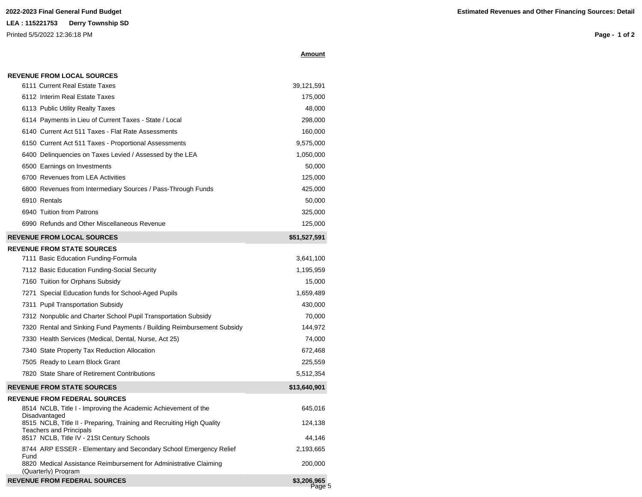## **LEA : 115221753 Derry Township SD** Printed 5/5/2022 12:36:18 PM

**Page - 1 of 2**

|  | <b>REVENUE FROM LOCAL SOURCES</b> |
|--|-----------------------------------|
|  |                                   |

| 6111 Current Real Estate Taxes                                                           | 39,121,591   |
|------------------------------------------------------------------------------------------|--------------|
| 6112 Interim Real Estate Taxes                                                           | 175,000      |
| 6113 Public Utility Realty Taxes                                                         | 48,000       |
| 6114 Payments in Lieu of Current Taxes - State / Local                                   | 298,000      |
| 6140 Current Act 511 Taxes - Flat Rate Assessments                                       | 160,000      |
| 6150 Current Act 511 Taxes - Proportional Assessments                                    | 9,575,000    |
| 6400 Delinquencies on Taxes Levied / Assessed by the LEA                                 | 1,050,000    |
| 6500 Earnings on Investments                                                             | 50,000       |
| 6700 Revenues from LEA Activities                                                        | 125,000      |
| 6800 Revenues from Intermediary Sources / Pass-Through Funds                             | 425,000      |
| 6910 Rentals                                                                             | 50,000       |
| 6940 Tuition from Patrons                                                                | 325,000      |
| 6990 Refunds and Other Miscellaneous Revenue                                             | 125,000      |
| <b>REVENUE FROM LOCAL SOURCES</b>                                                        | \$51,527,591 |
| <b>REVENUE FROM STATE SOURCES</b>                                                        |              |
| 7111 Basic Education Funding-Formula                                                     | 3,641,100    |
| 7112 Basic Education Funding-Social Security                                             | 1,195,959    |
| 7160 Tuition for Orphans Subsidy                                                         | 15,000       |
| 7271 Special Education funds for School-Aged Pupils                                      | 1,659,489    |
| 7311 Pupil Transportation Subsidy                                                        | 430,000      |
| 7312 Nonpublic and Charter School Pupil Transportation Subsidy                           | 70,000       |
| 7320 Rental and Sinking Fund Payments / Building Reimbursement Subsidy                   | 144,972      |
| 7330 Health Services (Medical, Dental, Nurse, Act 25)                                    | 74,000       |
| 7340 State Property Tax Reduction Allocation                                             | 672,468      |
| 7505 Ready to Learn Block Grant                                                          | 225,559      |
| 7820 State Share of Retirement Contributions                                             | 5,512,354    |
| <b>REVENUE FROM STATE SOURCES</b>                                                        | \$13,640,901 |
| <b>REVENUE FROM FEDERAL SOURCES</b>                                                      |              |
| 8514 NCLB, Title I - Improving the Academic Achievement of the<br>Disadvantaged          | 645,016      |
| 8515 NCLB, Title II - Preparing, Training and Recruiting High Quality                    | 124,138      |
| <b>Teachers and Principals</b><br>8517 NCLB, Title IV - 21St Century Schools             | 44,146       |
| 8744 ARP ESSER - Elementary and Secondary School Emergency Relief<br>Fund                | 2,193,665    |
| 8820 Medical Assistance Reimbursement for Administrative Claiming<br>(Quarterly) Program | 200,000      |



**Amount**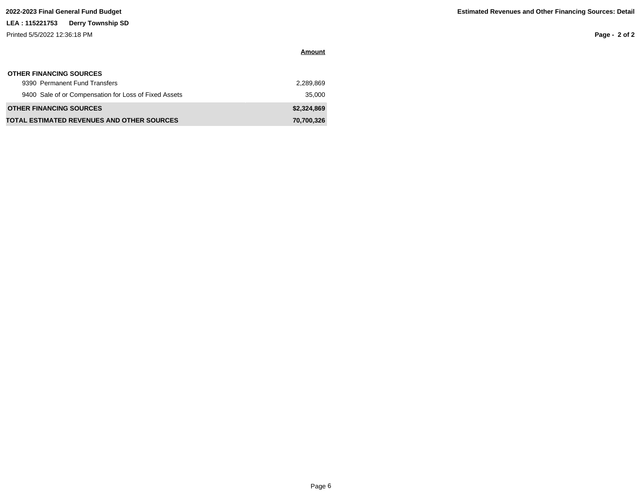## **LEA : 115221753 Derry Township SD**

Printed 5/5/2022 12:36:18 PM

**Page - 2 of 2**

| <b>OTHER FINANCING SOURCES</b>                        |             |
|-------------------------------------------------------|-------------|
| 9390 Permanent Fund Transfers                         | 2.289.869   |
| 9400 Sale of or Compensation for Loss of Fixed Assets | 35,000      |
| <b>OTHER FINANCING SOURCES</b>                        | \$2,324,869 |
| <b>TOTAL ESTIMATED REVENUES AND OTHER SOURCES</b>     | 70,700,326  |

**Amount**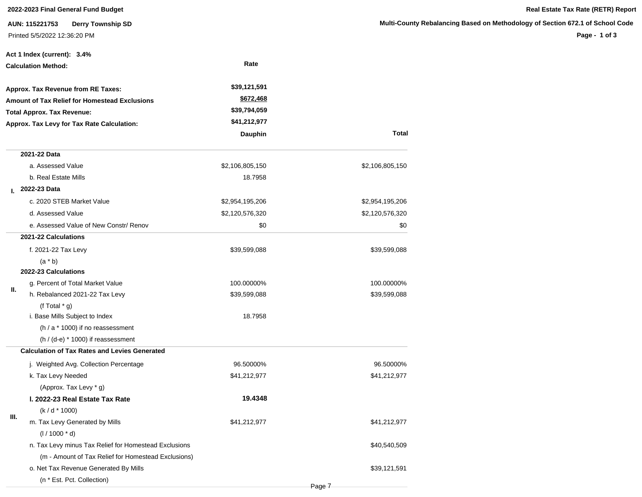### **2022-2023 Final General Fund Budget Real Estate Tax Rate (RETR) Report**

**AUN: 115221753 Derry Township SD** Printed 5/5/2022 12:36:20 PM

**Page - 1 of 3**

|    | Act 1 Index (current): 3.4%                           |                 |                 |
|----|-------------------------------------------------------|-----------------|-----------------|
|    | <b>Calculation Method:</b>                            | Rate            |                 |
|    | Approx. Tax Revenue from RE Taxes:                    | \$39,121,591    |                 |
|    | Amount of Tax Relief for Homestead Exclusions         | \$672,468       |                 |
|    | <b>Total Approx. Tax Revenue:</b>                     | \$39,794,059    |                 |
|    | Approx. Tax Levy for Tax Rate Calculation:            | \$41,212,977    |                 |
|    |                                                       | Dauphin         | Total           |
|    | 2021-22 Data                                          |                 |                 |
|    | a. Assessed Value                                     | \$2,106,805,150 | \$2,106,805,150 |
|    | b. Real Estate Mills                                  | 18.7958         |                 |
| L. | 2022-23 Data                                          |                 |                 |
|    | c. 2020 STEB Market Value                             | \$2,954,195,206 | \$2,954,195,206 |
|    | d. Assessed Value                                     | \$2,120,576,320 | \$2,120,576,320 |
|    | e. Assessed Value of New Constr/ Renov                | \$0             | \$0             |
|    | 2021-22 Calculations                                  |                 |                 |
|    | f. 2021-22 Tax Levy                                   | \$39,599,088    | \$39,599,088    |
|    | $(a * b)$                                             |                 |                 |
|    | 2022-23 Calculations                                  |                 |                 |
|    | g. Percent of Total Market Value                      | 100.00000%      | 100.00000%      |
| Ш. | h. Rebalanced 2021-22 Tax Levy                        | \$39,599,088    | \$39,599,088    |
|    | (f Total $*$ g)                                       |                 |                 |
|    | i. Base Mills Subject to Index                        | 18.7958         |                 |
|    | (h / a * 1000) if no reassessment                     |                 |                 |
|    | $(h / (d-e) * 1000)$ if reassessment                  |                 |                 |
|    | <b>Calculation of Tax Rates and Levies Generated</b>  |                 |                 |
|    | j. Weighted Avg. Collection Percentage                | 96.50000%       | 96.50000%       |
|    | k. Tax Levy Needed                                    | \$41,212,977    | \$41,212,977    |
|    | (Approx. Tax Levy * g)                                |                 |                 |
|    | I. 2022-23 Real Estate Tax Rate                       | 19.4348         |                 |
| Ш. | $(k/d * 1000)$                                        |                 |                 |
|    | m. Tax Levy Generated by Mills                        | \$41,212,977    | \$41,212,977    |
|    | $(1/1000 * d)$                                        |                 |                 |
|    | n. Tax Levy minus Tax Relief for Homestead Exclusions |                 | \$40,540,509    |
|    | (m - Amount of Tax Relief for Homestead Exclusions)   |                 |                 |
|    | o. Net Tax Revenue Generated By Mills                 |                 | \$39,121,591    |
|    | (n * Est. Pct. Collection)                            |                 |                 |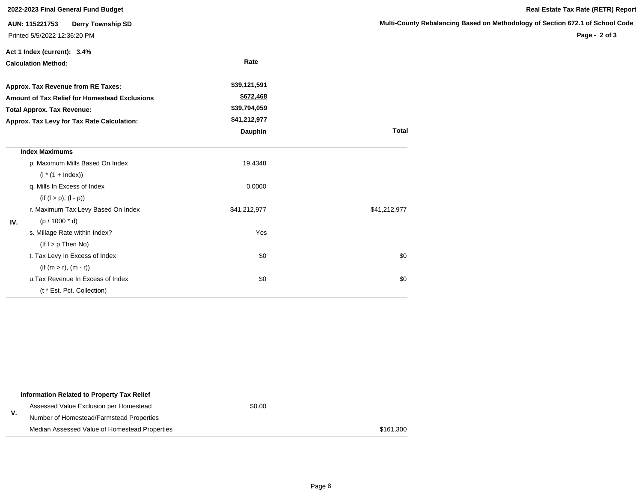| 2022-2023 Final General Fund Budget                                                                                                     |                                                                            |              |                             |  |  |
|-----------------------------------------------------------------------------------------------------------------------------------------|----------------------------------------------------------------------------|--------------|-----------------------------|--|--|
|                                                                                                                                         | AUN: 115221753<br><b>Derry Township SD</b><br>Printed 5/5/2022 12:36:20 PM |              | <b>Multi-County Rebalan</b> |  |  |
|                                                                                                                                         | Act 1 Index (current): 3.4%                                                | Rate         |                             |  |  |
|                                                                                                                                         | <b>Calculation Method:</b>                                                 |              |                             |  |  |
|                                                                                                                                         | Approx. Tax Revenue from RE Taxes:                                         | \$39,121,591 |                             |  |  |
| <b>Amount of Tax Relief for Homestead Exclusions</b><br><b>Total Approx. Tax Revenue:</b><br>Approx. Tax Levy for Tax Rate Calculation: |                                                                            | \$672,468    |                             |  |  |
|                                                                                                                                         |                                                                            | \$39,794,059 |                             |  |  |
|                                                                                                                                         |                                                                            | \$41,212,977 |                             |  |  |
|                                                                                                                                         |                                                                            | Dauphin      | <b>Total</b>                |  |  |
|                                                                                                                                         | <b>Index Maximums</b>                                                      |              |                             |  |  |
|                                                                                                                                         | p. Maximum Mills Based On Index                                            | 19.4348      |                             |  |  |
|                                                                                                                                         | $(i * (1 + Index))$                                                        |              |                             |  |  |
|                                                                                                                                         | q. Mills In Excess of Index                                                | 0.0000       |                             |  |  |
|                                                                                                                                         | $(if (l > p), (l - p))$                                                    |              |                             |  |  |
|                                                                                                                                         | r. Maximum Tax Levy Based On Index                                         | \$41,212,977 | \$41,212,977                |  |  |
| IV.                                                                                                                                     | $(p / 1000 * d)$                                                           |              |                             |  |  |
|                                                                                                                                         | s. Millage Rate within Index?                                              | Yes          |                             |  |  |
|                                                                                                                                         | $($ If $I > p$ Then No $)$                                                 |              |                             |  |  |
|                                                                                                                                         | t. Tax Levy In Excess of Index                                             | \$0          | \$0                         |  |  |
|                                                                                                                                         | $(if (m > r), (m - r))$                                                    |              |                             |  |  |
|                                                                                                                                         | u. Tax Revenue In Excess of Index                                          | \$0          | \$0                         |  |  |
|                                                                                                                                         | (t * Est. Pct. Collection)                                                 |              |                             |  |  |

|    | Information Related to Property Tax Relief    |        |           |
|----|-----------------------------------------------|--------|-----------|
|    | Assessed Value Exclusion per Homestead        | \$0.00 |           |
| ۷. | Number of Homestead/Farmstead Properties      |        |           |
|    | Median Assessed Value of Homestead Properties |        | \$161.300 |

### **Nultimary Based on Methodology of Section 672.1 of School Code**

**Page - 2 of 3**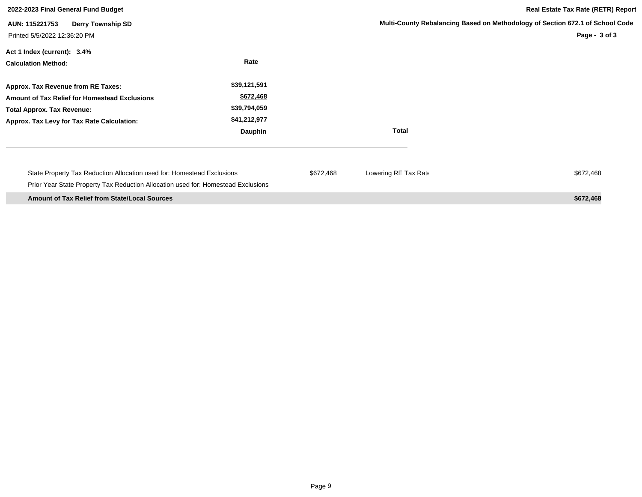| 2022-2023 Final General Fund Budget                                                                                                                                    |                                                                      | <b>Real Estate Tax Rate (RETR) Report</b> |                      |                                                                                                |
|------------------------------------------------------------------------------------------------------------------------------------------------------------------------|----------------------------------------------------------------------|-------------------------------------------|----------------------|------------------------------------------------------------------------------------------------|
| <b>Derry Township SD</b><br>AUN: 115221753<br>Printed 5/5/2022 12:36:20 PM                                                                                             |                                                                      |                                           |                      | Multi-County Rebalancing Based on Methodology of Section 672.1 of School Code<br>Page - 3 of 3 |
| Act 1 Index (current): 3.4%<br><b>Calculation Method:</b>                                                                                                              | Rate                                                                 |                                           |                      |                                                                                                |
| Approx. Tax Revenue from RE Taxes:<br>Amount of Tax Relief for Homestead Exclusions<br><b>Total Approx. Tax Revenue:</b><br>Approx. Tax Levy for Tax Rate Calculation: | \$39,121,591<br>\$672,468<br>\$39,794,059<br>\$41,212,977<br>Dauphin |                                           | <b>Total</b>         |                                                                                                |
| State Property Tax Reduction Allocation used for: Homestead Exclusions<br>Prior Year State Property Tax Reduction Allocation used for: Homestead Exclusions            |                                                                      | \$672,468                                 | Lowering RE Tax Rate | \$672,468                                                                                      |
| <b>Amount of Tax Relief from State/Local Sources</b>                                                                                                                   |                                                                      |                                           |                      | \$672,468                                                                                      |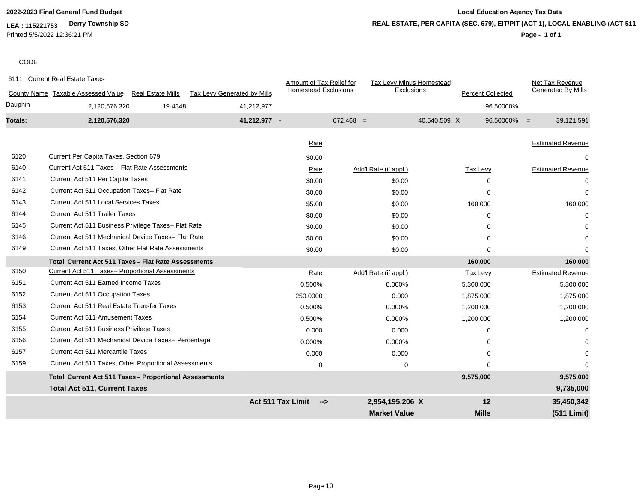**LEA : 115221753 Derry Township SD** Printed 5/5/2022 12:36:21 PM

## **2022-2023 Final General Fund Budget Local Education Agency Tax Data REAL ESTATE, PER CAPITA (SEC. 679), EIT/PIT (ACT 1), LOCAL ENABLING (ACT 511)**

### **Page - 1 of 1**

### **CODE**

| 6111           | <b>Current Real Estate Taxes</b>                               |                                    | Amount of Tax Relief for    | Tax Levy Minus Homestead |                          | Net Tax Revenue              |
|----------------|----------------------------------------------------------------|------------------------------------|-----------------------------|--------------------------|--------------------------|------------------------------|
|                | County Name Taxable Assessed Value<br><b>Real Estate Mills</b> | <b>Tax Levy Generated by Mills</b> | <b>Homestead Exclusions</b> | Exclusions               | <b>Percent Collected</b> | <b>Generated By Mills</b>    |
| Dauphin        | 2,120,576,320<br>19.4348                                       | 41,212,977                         |                             |                          |                          | 96.50000%                    |
| <b>Totals:</b> | 2,120,576,320                                                  | 41,212,977 -                       |                             | $672,468 =$              | 40,540,509 X             | 39,121,591<br>$96.50000\% =$ |
|                |                                                                |                                    |                             |                          |                          |                              |
|                |                                                                |                                    | Rate                        |                          |                          | <b>Estimated Revenue</b>     |
| 6120           | Current Per Capita Taxes, Section 679                          |                                    | \$0.00                      |                          |                          | 0                            |
| 6140           | Current Act 511 Taxes - Flat Rate Assessments                  |                                    | Rate                        | Add'l Rate (if appl.)    | Tax Levy                 | <b>Estimated Revenue</b>     |
| 6141           | Current Act 511 Per Capita Taxes                               |                                    | \$0.00                      | \$0.00                   | $\Omega$                 | 0                            |
| 6142           | Current Act 511 Occupation Taxes- Flat Rate                    |                                    | \$0.00                      | \$0.00                   | 0                        | 0                            |
| 6143           | <b>Current Act 511 Local Services Taxes</b>                    |                                    | \$5.00                      | \$0.00                   | 160,000                  | 160,000                      |
| 6144           | <b>Current Act 511 Trailer Taxes</b>                           |                                    | \$0.00                      | \$0.00                   | $\Omega$                 | $\Omega$                     |
| 6145           | Current Act 511 Business Privilege Taxes- Flat Rate            |                                    | \$0.00                      | \$0.00                   | 0                        | ∩                            |
| 6146           | Current Act 511 Mechanical Device Taxes- Flat Rate             |                                    | \$0.00                      | \$0.00                   | $\Omega$                 | $\Omega$                     |
| 6149           | Current Act 511 Taxes, Other Flat Rate Assessments             |                                    | \$0.00                      | \$0.00                   | $\Omega$                 | $\Omega$                     |
|                | Total Current Act 511 Taxes - Flat Rate Assessments            |                                    |                             |                          | 160,000                  | 160,000                      |
| 6150           | Current Act 511 Taxes- Proportional Assessments                |                                    | Rate                        | Add'l Rate (if appl.)    | Tax Levy                 | <b>Estimated Revenue</b>     |
| 6151           | Current Act 511 Earned Income Taxes                            |                                    | 0.500%                      | 0.000%                   | 5,300,000                | 5,300,000                    |
| 6152           | <b>Current Act 511 Occupation Taxes</b>                        |                                    | 250.0000                    | 0.000                    | 1,875,000                | 1,875,000                    |
| 6153           | <b>Current Act 511 Real Estate Transfer Taxes</b>              |                                    | 0.500%                      | 0.000%                   | 1,200,000                | 1,200,000                    |
| 6154           | <b>Current Act 511 Amusement Taxes</b>                         |                                    | 0.500%                      | 0.000%                   | 1,200,000                | 1,200,000                    |
| 6155           | Current Act 511 Business Privilege Taxes                       |                                    | 0.000                       | 0.000                    | $\Omega$                 | $\Omega$                     |
| 6156           | Current Act 511 Mechanical Device Taxes- Percentage            |                                    | 0.000%                      | 0.000%                   | $\Omega$                 | 0                            |
| 6157           | <b>Current Act 511 Mercantile Taxes</b>                        |                                    | 0.000                       | 0.000                    | $\Omega$                 | $\Omega$                     |
| 6159           | Current Act 511 Taxes, Other Proportional Assessments          |                                    | $\mathbf 0$                 | 0                        | 0                        | 0                            |
|                | Total Current Act 511 Taxes- Proportional Assessments          |                                    |                             |                          | 9,575,000                | 9,575,000                    |
|                | <b>Total Act 511, Current Taxes</b>                            |                                    |                             |                          |                          | 9,735,000                    |
|                |                                                                | Act 511 Tax Limit                  | $\rightarrow$               | 2,954,195,206 X          | 12                       | 35,450,342                   |
|                |                                                                |                                    |                             | <b>Market Value</b>      | <b>Mills</b>             | (511 Limit)                  |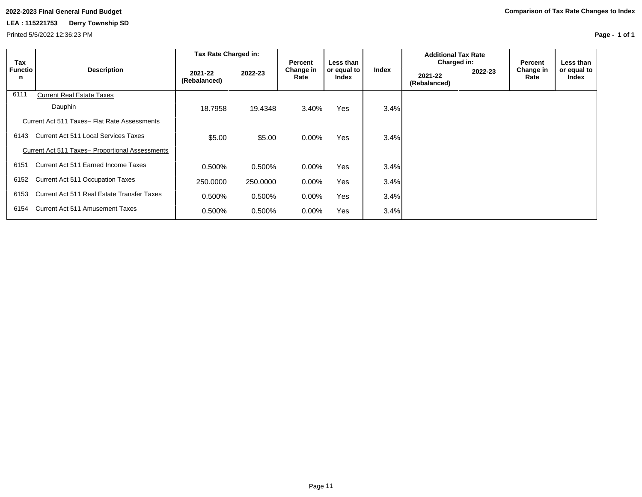Printed 5/5/2022 12:36:23 PM

**Page - 1 of 1**

|                            |                                                 | Tax Rate Charged in:    |          |                              |                                   |       | <b>Additional Tax Rate</b>             |         |                              |                                   |
|----------------------------|-------------------------------------------------|-------------------------|----------|------------------------------|-----------------------------------|-------|----------------------------------------|---------|------------------------------|-----------------------------------|
| Tax<br><b>Functio</b><br>n | <b>Description</b>                              | 2021-22<br>(Rebalanced) | 2022-23  | Percent<br>Change in<br>Rate | Less than<br>or equal to<br>Index | Index | Charged in:<br>2021-22<br>(Rebalanced) | 2022-23 | Percent<br>Change in<br>Rate | Less than<br>or equal to<br>Index |
| 6111                       | <b>Current Real Estate Taxes</b>                |                         |          |                              |                                   |       |                                        |         |                              |                                   |
|                            | Dauphin                                         | 18.7958                 | 19.4348  | 3.40%                        | Yes                               | 3.4%  |                                        |         |                              |                                   |
|                            | Current Act 511 Taxes- Flat Rate Assessments    |                         |          |                              |                                   |       |                                        |         |                              |                                   |
| 6143                       | Current Act 511 Local Services Taxes            | \$5.00                  | \$5.00   | $0.00\%$                     | <b>Yes</b>                        | 3.4%  |                                        |         |                              |                                   |
|                            | Current Act 511 Taxes- Proportional Assessments |                         |          |                              |                                   |       |                                        |         |                              |                                   |
| 6151                       | Current Act 511 Earned Income Taxes             | 0.500%                  | 0.500%   | $0.00\%$                     | Yes                               | 3.4%  |                                        |         |                              |                                   |
| 6152                       | Current Act 511 Occupation Taxes                | 250,0000                | 250,0000 | $0.00\%$                     | Yes                               | 3.4%  |                                        |         |                              |                                   |
| 6153                       | Current Act 511 Real Estate Transfer Taxes      | 0.500%                  | 0.500%   | $0.00\%$                     | Yes                               | 3.4%  |                                        |         |                              |                                   |
| 6154                       | Current Act 511 Amusement Taxes                 | 0.500%                  | 0.500%   | $0.00\%$                     | Yes                               | 3.4%  |                                        |         |                              |                                   |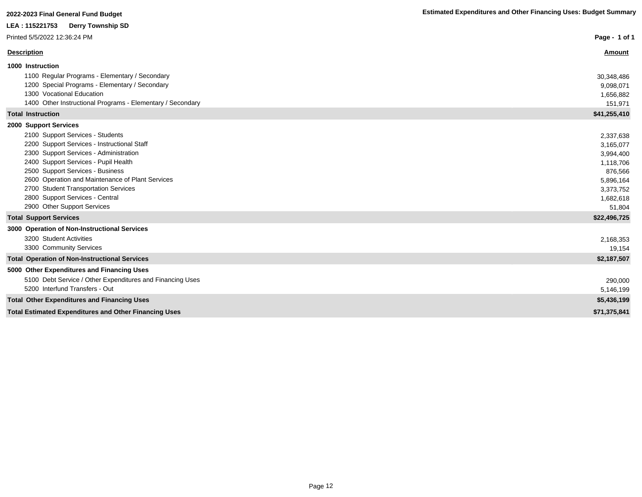| LEA : 115221753<br><b>Derry Township SD</b>                  |               |
|--------------------------------------------------------------|---------------|
| Printed 5/5/2022 12:36:24 PM                                 | Page - 1 of 1 |
| <b>Description</b>                                           | <b>Amount</b> |
| 1000 Instruction                                             |               |
| 1100 Regular Programs - Elementary / Secondary               | 30,348,486    |
| 1200 Special Programs - Elementary / Secondary               | 9,098,071     |
| 1300 Vocational Education                                    | 1,656,882     |
| 1400 Other Instructional Programs - Elementary / Secondary   | 151,971       |
| <b>Total Instruction</b>                                     | \$41,255,410  |
| 2000 Support Services                                        |               |
| 2100 Support Services - Students                             | 2,337,638     |
| 2200 Support Services - Instructional Staff                  | 3,165,077     |
| 2300 Support Services - Administration                       | 3,994,400     |
| 2400 Support Services - Pupil Health                         | 1,118,706     |
| 2500 Support Services - Business                             | 876,566       |
| 2600 Operation and Maintenance of Plant Services             | 5,896,164     |
| 2700 Student Transportation Services                         | 3,373,752     |
| 2800 Support Services - Central                              | 1,682,618     |
| 2900 Other Support Services                                  | 51,804        |
| <b>Total Support Services</b>                                | \$22,496,725  |
| 3000 Operation of Non-Instructional Services                 |               |
| 3200 Student Activities                                      | 2,168,353     |
| 3300 Community Services                                      | 19,154        |
| <b>Total Operation of Non-Instructional Services</b>         | \$2,187,507   |
| 5000 Other Expenditures and Financing Uses                   |               |
| 5100 Debt Service / Other Expenditures and Financing Uses    | 290,000       |
| 5200 Interfund Transfers - Out                               | 5,146,199     |
| <b>Total Other Expenditures and Financing Uses</b>           | \$5,436,199   |
| <b>Total Estimated Expenditures and Other Financing Uses</b> | \$71,375,841  |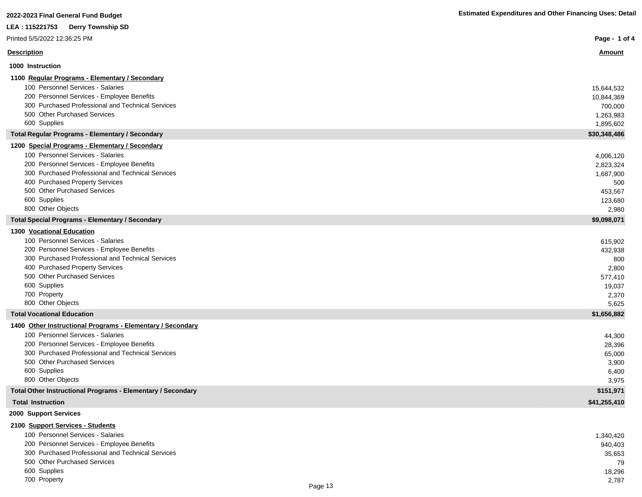| 2022-2023 Final General Fund Budget                                                 | <b>Estimated Expenditures and Other Financing Uses: Detail</b> |
|-------------------------------------------------------------------------------------|----------------------------------------------------------------|
| <b>Derry Township SD</b><br>LEA: 115221753                                          |                                                                |
| Printed 5/5/2022 12:36:25 PM                                                        | Page - 1 of 4                                                  |
| <b>Description</b>                                                                  | <u>Amount</u>                                                  |
| 1000 Instruction                                                                    |                                                                |
| 1100 Regular Programs - Elementary / Secondary                                      |                                                                |
| 100 Personnel Services - Salaries                                                   | 15,644,532                                                     |
| 200 Personnel Services - Employee Benefits                                          | 10,844,369                                                     |
| 300 Purchased Professional and Technical Services                                   | 700,000                                                        |
| 500 Other Purchased Services                                                        | 1,263,983                                                      |
| 600 Supplies                                                                        | 1,895,602                                                      |
| <b>Total Regular Programs - Elementary / Secondary</b>                              | \$30,348,486                                                   |
| 1200 Special Programs - Elementary / Secondary                                      |                                                                |
| 100 Personnel Services - Salaries                                                   | 4,006,120                                                      |
| 200 Personnel Services - Employee Benefits                                          | 2,823,324                                                      |
| 300 Purchased Professional and Technical Services                                   | 1,687,900                                                      |
| 400 Purchased Property Services                                                     | 500                                                            |
| 500 Other Purchased Services                                                        | 453,567                                                        |
| 600 Supplies                                                                        | 123,680                                                        |
| 800 Other Objects                                                                   | 2,980                                                          |
| <b>Total Special Programs - Elementary / Secondary</b><br>1300 Vocational Education | \$9,098,071                                                    |
| 100 Personnel Services - Salaries                                                   |                                                                |
| 200 Personnel Services - Employee Benefits                                          | 615,902<br>432,938                                             |
| 300 Purchased Professional and Technical Services                                   | 800                                                            |
| 400 Purchased Property Services                                                     | 2,800                                                          |
| 500 Other Purchased Services                                                        | 577,410                                                        |
| 600 Supplies                                                                        | 19,037                                                         |
| 700 Property                                                                        | 2,370                                                          |
| 800 Other Objects                                                                   | 5,625                                                          |
| <b>Total Vocational Education</b>                                                   | \$1,656,882                                                    |
| 1400 Other Instructional Programs - Elementary / Secondary                          |                                                                |
| 100 Personnel Services - Salaries                                                   | 44,300                                                         |
| 200 Personnel Services - Employee Benefits                                          | 28,396                                                         |
| 300 Purchased Professional and Technical Services                                   | 65,000                                                         |
| 500 Other Purchased Services                                                        | 3,900                                                          |
| 600 Supplies                                                                        | 6,400                                                          |
| 800 Other Objects                                                                   | 3,975                                                          |
| Total Other Instructional Programs - Elementary / Secondary                         | \$151,971                                                      |
| <b>Total Instruction</b>                                                            | \$41,255,410                                                   |
| 2000 Support Services                                                               |                                                                |
| 2100 Support Services - Students                                                    |                                                                |

| 100 Personnel Services - Salaries                 | 1,340,420 |
|---------------------------------------------------|-----------|
| 200 Personnel Services - Employee Benefits        | 940.403   |
| 300 Purchased Professional and Technical Services | 35,653    |
| 500 Other Purchased Services                      | 79        |
| 600 Supplies                                      | 18,296    |
| 700 Property                                      | 2,787     |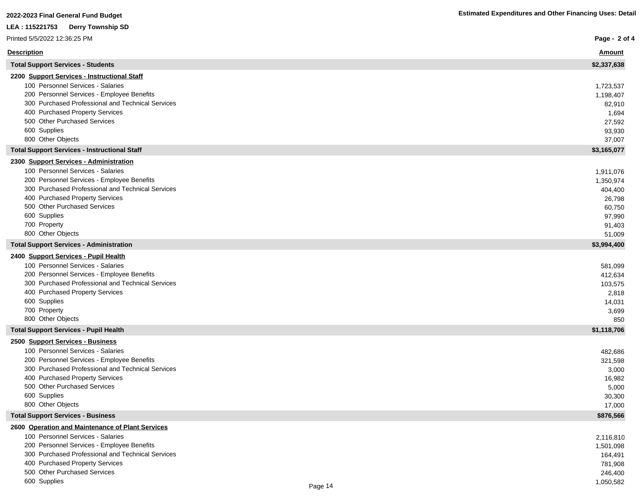## **LEA : 115221753 Derry Township SD**

| Printed 5/5/2022 12:36:25 PM                        | Page - 2 of 4 |
|-----------------------------------------------------|---------------|
| <b>Description</b>                                  | <b>Amount</b> |
| <b>Total Support Services - Students</b>            | \$2,337,638   |
| 2200 Support Services - Instructional Staff         |               |
| 100 Personnel Services - Salaries                   | 1,723,537     |
| 200 Personnel Services - Employee Benefits          | 1,198,407     |
| 300 Purchased Professional and Technical Services   | 82,910        |
| 400 Purchased Property Services                     | 1,694         |
| 500 Other Purchased Services                        | 27,592        |
| 600 Supplies                                        | 93,930        |
| 800 Other Objects                                   | 37,007        |
| <b>Total Support Services - Instructional Staff</b> | \$3,165,077   |
| 2300 Support Services - Administration              |               |
| 100 Personnel Services - Salaries                   | 1,911,076     |
| 200 Personnel Services - Employee Benefits          | 1,350,974     |
| 300 Purchased Professional and Technical Services   | 404,400       |
| 400 Purchased Property Services                     | 26,798        |
| 500 Other Purchased Services                        | 60,750        |
| 600 Supplies                                        | 97,990        |
| 700 Property                                        | 91,403        |
| 800 Other Objects                                   | 51,009        |
| <b>Total Support Services - Administration</b>      | \$3,994,400   |
| 2400 Support Services - Pupil Health                |               |
| 100 Personnel Services - Salaries                   | 581,099       |
| 200 Personnel Services - Employee Benefits          | 412,634       |
| 300 Purchased Professional and Technical Services   | 103,575       |
| 400 Purchased Property Services                     | 2,818         |
| 600 Supplies                                        | 14,031        |
| 700 Property                                        | 3,699         |
| 800 Other Objects                                   | 850           |
| <b>Total Support Services - Pupil Health</b>        | \$1,118,706   |
| 2500 Support Services - Business                    |               |
| 100 Personnel Services - Salaries                   | 482,686       |
| 200 Personnel Services - Employee Benefits          | 321,598       |
| 300 Purchased Professional and Technical Services   | 3,000         |
| 400 Purchased Property Services                     | 16,982        |
| 500 Other Purchased Services                        | 5,000         |
| 600 Supplies                                        | 30,300        |
| 800 Other Objects                                   | 17,000        |
| <b>Total Support Services - Business</b>            | \$876,566     |
| 2600 Operation and Maintenance of Plant Services    |               |
| 100 Personnel Services - Salaries                   | 2,116,810     |
| 200 Personnel Services - Employee Benefits          | 1,501,098     |
| 300 Purchased Professional and Technical Services   | 164,491       |
| 400 Purchased Property Services                     | 781,908       |
| 500 Other Purchased Services                        | 246,400       |
| 600 Supplies                                        | 1,050,582     |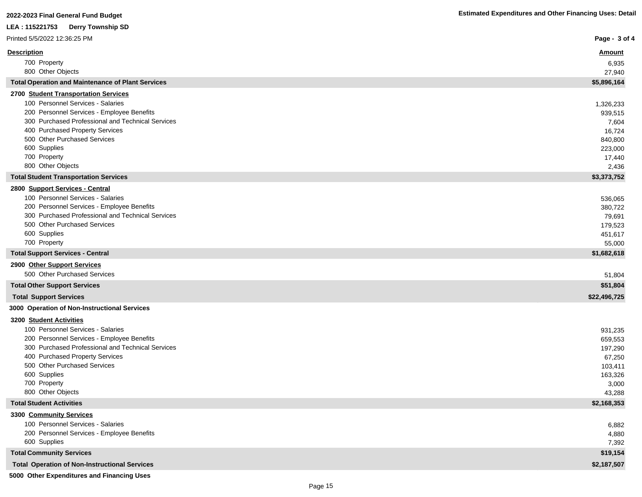| LEA: 115221753<br><b>Derry Township SD</b>                      |                    |
|-----------------------------------------------------------------|--------------------|
| Printed 5/5/2022 12:36:25 PM                                    | Page - 3 of 4      |
| <b>Description</b>                                              | <u>Amount</u>      |
| 700 Property                                                    | 6,935              |
| 800 Other Objects                                               | 27,940             |
| <b>Total Operation and Maintenance of Plant Services</b>        | \$5,896,164        |
| 2700 Student Transportation Services                            |                    |
| 100 Personnel Services - Salaries                               | 1,326,233          |
| 200 Personnel Services - Employee Benefits                      | 939,515            |
| 300 Purchased Professional and Technical Services               | 7,604              |
| 400 Purchased Property Services<br>500 Other Purchased Services | 16,724             |
| 600 Supplies                                                    | 840,800<br>223,000 |
| 700 Property                                                    | 17,440             |
| 800 Other Objects                                               | 2,436              |
| <b>Total Student Transportation Services</b>                    | \$3,373,752        |
| 2800 Support Services - Central                                 |                    |
| 100 Personnel Services - Salaries                               | 536,065            |
| 200 Personnel Services - Employee Benefits                      | 380,722            |
| 300 Purchased Professional and Technical Services               | 79,691             |
| 500 Other Purchased Services                                    | 179,523            |
| 600 Supplies                                                    | 451,617            |
| 700 Property                                                    | 55,000             |
| <b>Total Support Services - Central</b>                         | \$1,682,618        |
| 2900 Other Support Services                                     |                    |
| 500 Other Purchased Services                                    | 51,804             |
| <b>Total Other Support Services</b>                             | \$51,804           |
| <b>Total Support Services</b>                                   | \$22,496,725       |
| 3000 Operation of Non-Instructional Services                    |                    |
| 3200 Student Activities                                         |                    |
| 100 Personnel Services - Salaries                               | 931,235            |
| 200 Personnel Services - Employee Benefits                      | 659,553            |
| 300 Purchased Professional and Technical Services               | 197,290            |
| 400 Purchased Property Services                                 | 67,250             |
| 500 Other Purchased Services                                    | 103,411            |
| 600 Supplies                                                    | 163,326            |
| 700 Property<br>800 Other Objects                               | 3,000<br>43,288    |
| <b>Total Student Activities</b>                                 | \$2,168,353        |
| 3300 Community Services                                         |                    |
| 100 Personnel Services - Salaries                               | 6,882              |
| 200 Personnel Services - Employee Benefits                      | 4,880              |
| 600 Supplies                                                    | 7,392              |
| <b>Total Community Services</b>                                 | \$19,154           |
| <b>Total Operation of Non-Instructional Services</b>            | \$2,187,507        |

 **5000 Other Expenditures and Financing Uses**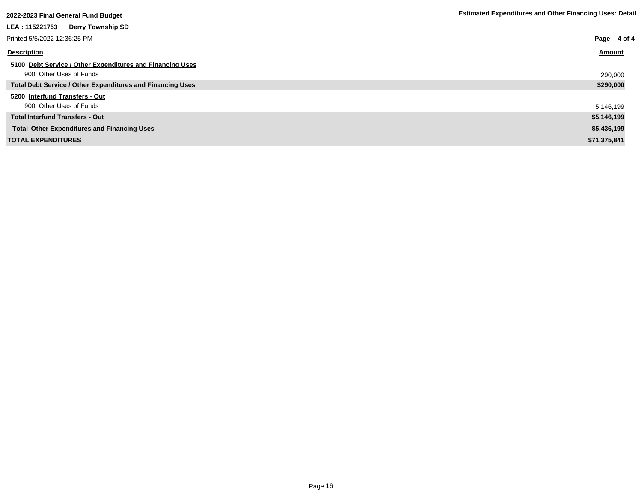| zuzz-zuzbirinai General Fund Budget                        |               |
|------------------------------------------------------------|---------------|
| LEA: 115221753<br><b>Derry Township SD</b>                 |               |
| Printed 5/5/2022 12:36:25 PM                               | Page - 4 of 4 |
| <b>Description</b>                                         | Amount        |
| 5100 Debt Service / Other Expenditures and Financing Uses  |               |
| 900 Other Uses of Funds                                    | 290,000       |
| Total Debt Service / Other Expenditures and Financing Uses | \$290,000     |
| 5200 Interfund Transfers - Out                             |               |
| 900 Other Uses of Funds                                    | 5,146,199     |
| <b>Total Interfund Transfers - Out</b>                     | \$5,146,199   |
| <b>Total Other Expenditures and Financing Uses</b>         | \$5,436,199   |
| <b>TOTAL EXPENDITURES</b>                                  | \$71,375,841  |
|                                                            |               |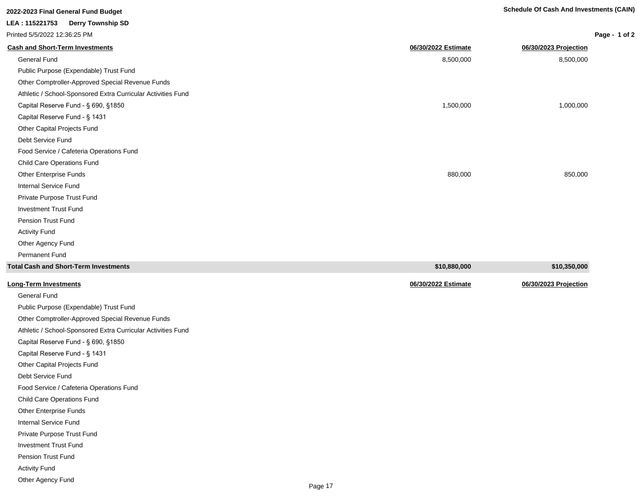| 2022-2023 Final General Fund Budget                          |                     | <b>Schedule Of Cash And Investments (CAIN)</b> |               |
|--------------------------------------------------------------|---------------------|------------------------------------------------|---------------|
| LEA: 115221753<br><b>Derry Township SD</b>                   |                     |                                                |               |
| Printed 5/5/2022 12:36:25 PM                                 |                     |                                                | Page - 1 of 2 |
| <b>Cash and Short-Term Investments</b>                       | 06/30/2022 Estimate | 06/30/2023 Projection                          |               |
| General Fund                                                 | 8,500,000           | 8,500,000                                      |               |
| Public Purpose (Expendable) Trust Fund                       |                     |                                                |               |
| Other Comptroller-Approved Special Revenue Funds             |                     |                                                |               |
| Athletic / School-Sponsored Extra Curricular Activities Fund |                     |                                                |               |
| Capital Reserve Fund - § 690, §1850                          | 1,500,000           | 1,000,000                                      |               |
| Capital Reserve Fund - § 1431                                |                     |                                                |               |
| Other Capital Projects Fund                                  |                     |                                                |               |
| Debt Service Fund                                            |                     |                                                |               |
| Food Service / Cafeteria Operations Fund                     |                     |                                                |               |
| <b>Child Care Operations Fund</b>                            |                     |                                                |               |
| Other Enterprise Funds                                       | 880,000             | 850,000                                        |               |
| <b>Internal Service Fund</b>                                 |                     |                                                |               |
| Private Purpose Trust Fund                                   |                     |                                                |               |
| <b>Investment Trust Fund</b>                                 |                     |                                                |               |
| <b>Pension Trust Fund</b>                                    |                     |                                                |               |
| <b>Activity Fund</b>                                         |                     |                                                |               |
| Other Agency Fund                                            |                     |                                                |               |
| <b>Permanent Fund</b>                                        |                     |                                                |               |
| <b>Total Cash and Short-Term Investments</b>                 | \$10,880,000        | \$10,350,000                                   |               |

| <b>Long-Term Investments</b>                                 | 06/30/2022 Estimate | 06/30/2023 Projection |
|--------------------------------------------------------------|---------------------|-----------------------|
| <b>General Fund</b>                                          |                     |                       |
| Public Purpose (Expendable) Trust Fund                       |                     |                       |
| Other Comptroller-Approved Special Revenue Funds             |                     |                       |
| Athletic / School-Sponsored Extra Curricular Activities Fund |                     |                       |
| Capital Reserve Fund - § 690, §1850                          |                     |                       |
| Capital Reserve Fund - § 1431                                |                     |                       |
| Other Capital Projects Fund                                  |                     |                       |
| Debt Service Fund                                            |                     |                       |
| Food Service / Cafeteria Operations Fund                     |                     |                       |
| Child Care Operations Fund                                   |                     |                       |
| Other Enterprise Funds                                       |                     |                       |
| <b>Internal Service Fund</b>                                 |                     |                       |
| Private Purpose Trust Fund                                   |                     |                       |
| <b>Investment Trust Fund</b>                                 |                     |                       |
| <b>Pension Trust Fund</b>                                    |                     |                       |
| <b>Activity Fund</b>                                         |                     |                       |
| Other Agency Fund                                            |                     |                       |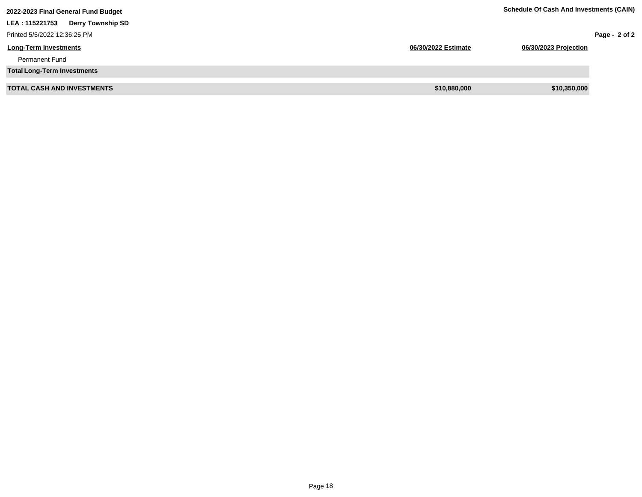| 2022-2023 Final General Fund Budget        |                     | <b>Schedule Of Cash And Investments (CAIN)</b> |                 |
|--------------------------------------------|---------------------|------------------------------------------------|-----------------|
| LEA: 115221753<br><b>Derry Township SD</b> |                     |                                                |                 |
| Printed 5/5/2022 12:36:25 PM               |                     |                                                | Page - $2$ of 2 |
| <b>Long-Term Investments</b>               | 06/30/2022 Estimate | 06/30/2023 Projection                          |                 |
| <b>Permanent Fund</b>                      |                     |                                                |                 |
| <b>Total Long-Term Investments</b>         |                     |                                                |                 |
| <b>TOTAL CASH AND INVESTMENTS</b>          | \$10,880,000        | \$10,350,000                                   |                 |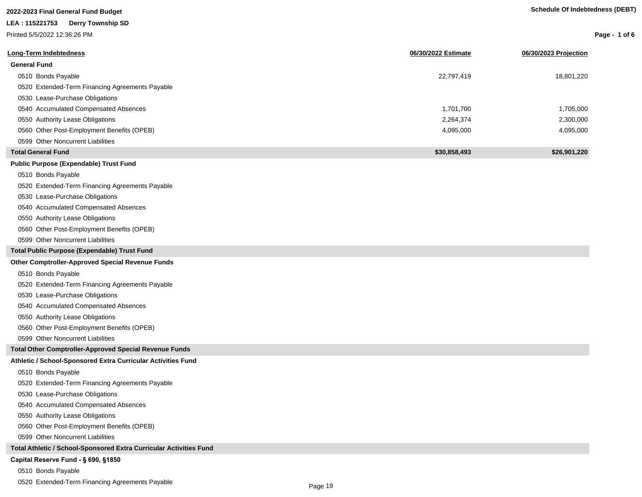| <b>Schedule Of Indebtedness (DEBT)</b> |  |
|----------------------------------------|--|
|                                        |  |

**Page - 1 of 6**

| 2022-2023 Final General Fund Budget | Schedu |
|-------------------------------------|--------|
| LEA: 115221753 Derry Township SD    |        |
| Printed 5/5/2022 12:36:26 PM        |        |
|                                     |        |

| Long-Term Indebtedness                          | 06/30/2022 Estimate | 06/30/2023 Projection |
|-------------------------------------------------|---------------------|-----------------------|
| <b>General Fund</b>                             |                     |                       |
| 0510 Bonds Payable                              | 22,797,419          | 18,801,220            |
| 0520 Extended-Term Financing Agreements Payable |                     |                       |
| 0530 Lease-Purchase Obligations                 |                     |                       |
| 0540 Accumulated Compensated Absences           | 1,701,700           | 1,705,000             |
| 0550 Authority Lease Obligations                | 2,264,374           | 2,300,000             |
| 0560 Other Post-Employment Benefits (OPEB)      | 4,095,000           | 4,095,000             |
| 0599 Other Noncurrent Liabilities               |                     |                       |
| <b>Total General Fund</b>                       | \$30,858,493        | \$26.901.220          |

#### **Public Purpose (Expendable) Trust Fund**

0510 Bonds Payable

0520 Extended-Term Financing Agreements Payable

0530 Lease-Purchase Obligations

0540 Accumulated Compensated Absences

0550 Authority Lease Obligations

0560 Other Post-Employment Benefits (OPEB)

0599 Other Noncurrent Liabilities

**Total Public Purpose (Expendable) Trust Fund**

#### **Other Comptroller-Approved Special Revenue Funds**

0510 Bonds Payable

0520 Extended-Term Financing Agreements Payable

0530 Lease-Purchase Obligations

0540 Accumulated Compensated Absences

0550 Authority Lease Obligations

0560 Other Post-Employment Benefits (OPEB)

0599 Other Noncurrent Liabilities

**Total Other Comptroller-Approved Special Revenue Funds**

#### **Athletic / School-Sponsored Extra Curricular Activities Fund**

0510 Bonds Payable

0520 Extended-Term Financing Agreements Payable

0530 Lease-Purchase Obligations

0540 Accumulated Compensated Absences

0550 Authority Lease Obligations

0560 Other Post-Employment Benefits (OPEB)

0599 Other Noncurrent Liabilities

**Total Athletic / School-Sponsored Extra Curricular Activities Fund**

#### Capital Reserve Fund - § 690, §1850

0510 Bonds Payable

0520 Extended-Term Financing Agreements Payable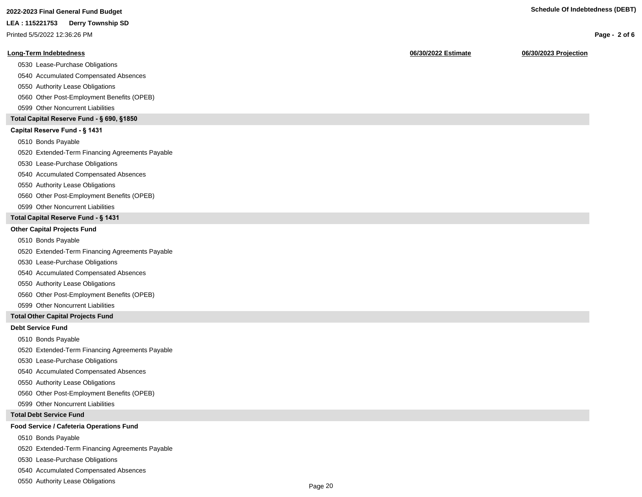## **2022-2023 Final General Fund Budget Schedule Of Indebtedness (DEBT)**

**LEA : 115221753 Derry Township SD**

Printed 5/5/2022 12:36:26 PM

#### **Long-Term Indebtedness 06/30/2022 Estimate 06/30/2023 Projection**

0530 Lease-Purchase Obligations

0540 Accumulated Compensated Absences

0550 Authority Lease Obligations

0560 Other Post-Employment Benefits (OPEB)

0599 Other Noncurrent Liabilities

#### **Total Capital Reserve Fund - § 690, §1850**

#### Capital Reserve Fund - § 1431

0510 Bonds Payable

0520 Extended-Term Financing Agreements Payable

0530 Lease-Purchase Obligations

0540 Accumulated Compensated Absences

0550 Authority Lease Obligations

0560 Other Post-Employment Benefits (OPEB)

0599 Other Noncurrent Liabilities

#### **Total Capital Reserve Fund - § 1431**

#### **Other Capital Projects Fund**

0510 Bonds Payable

0520 Extended-Term Financing Agreements Payable

0530 Lease-Purchase Obligations

0540 Accumulated Compensated Absences

0550 Authority Lease Obligations

0560 Other Post-Employment Benefits (OPEB)

0599 Other Noncurrent Liabilities

#### **Total Other Capital Projects Fund**

#### **Debt Service Fund**

0510 Bonds Payable

0520 Extended-Term Financing Agreements Payable

0530 Lease-Purchase Obligations

0540 Accumulated Compensated Absences

0550 Authority Lease Obligations

0560 Other Post-Employment Benefits (OPEB)

0599 Other Noncurrent Liabilities

#### **Total Debt Service Fund**

#### **Food Service / Cafeteria Operations Fund**

0510 Bonds Payable

0520 Extended-Term Financing Agreements Payable

0530 Lease-Purchase Obligations

0540 Accumulated Compensated Absences

0550 Authority Lease Obligations

**Page - 2 of 6**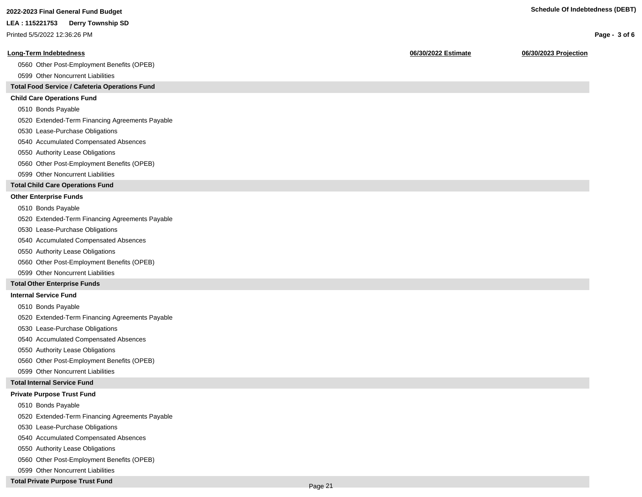**Page - 3 of 6**

## **2022-2023 Final General Fund Budget Schedule Of Indebtedness (DEBT)**

#### **LEA : 115221753 Derry Township SD**

Printed 5/5/2022 12:36:26 PM

#### **Long-Term Indebtedness 06/30/2022 Estimate 06/30/2023 Projection**

0560 Other Post-Employment Benefits (OPEB)

0599 Other Noncurrent Liabilities

#### **Total Food Service / Cafeteria Operations Fund**

#### **Child Care Operations Fund**

0510 Bonds Payable

0520 Extended-Term Financing Agreements Payable

- 0530 Lease-Purchase Obligations
- 0540 Accumulated Compensated Absences
- 0550 Authority Lease Obligations
- 0560 Other Post-Employment Benefits (OPEB)
- 0599 Other Noncurrent Liabilities

#### **Total Child Care Operations Fund**

#### **Other Enterprise Funds**

- 0510 Bonds Payable
- 0520 Extended-Term Financing Agreements Payable
- 0530 Lease-Purchase Obligations
- 0540 Accumulated Compensated Absences
- 0550 Authority Lease Obligations
- 0560 Other Post-Employment Benefits (OPEB)
- 0599 Other Noncurrent Liabilities

#### **Total Other Enterprise Funds**

#### **Internal Service Fund**

- 0510 Bonds Payable
- 0520 Extended-Term Financing Agreements Payable
- 0530 Lease-Purchase Obligations
- 0540 Accumulated Compensated Absences
- 0550 Authority Lease Obligations
- 0560 Other Post-Employment Benefits (OPEB)
- 0599 Other Noncurrent Liabilities

#### **Total Internal Service Fund**

#### **Private Purpose Trust Fund**

- 0510 Bonds Payable
- 0520 Extended-Term Financing Agreements Payable
- 0530 Lease-Purchase Obligations
- 0540 Accumulated Compensated Absences
- 0550 Authority Lease Obligations
- 0560 Other Post-Employment Benefits (OPEB)
- 0599 Other Noncurrent Liabilities

#### **Total Private Purpose Trust Fund**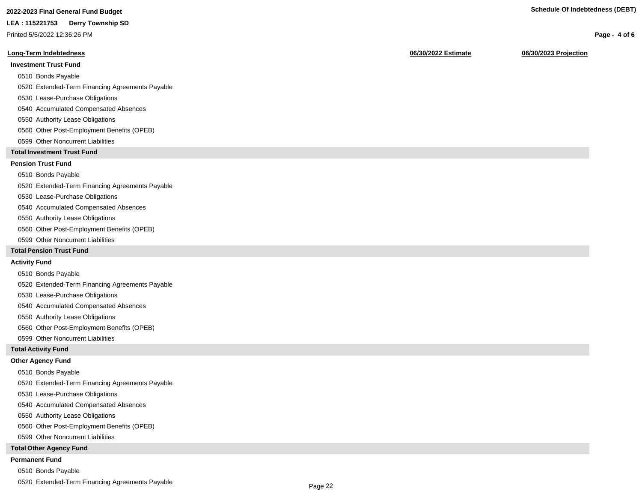## **2022-2023 Final General Fund Budget Schedule Of Indebtedness (DEBT)**

#### **LEA : 115221753 Derry Township SD**

Printed 5/5/2022 12:36:26 PM

#### **Long-Term Indebtedness 06/30/2022 Estimate 06/30/2023 Projection**

#### **Investment Trust Fund**

0510 Bonds Payable

0520 Extended-Term Financing Agreements Payable

- 0530 Lease-Purchase Obligations
- 0540 Accumulated Compensated Absences
- 0550 Authority Lease Obligations
- 0560 Other Post-Employment Benefits (OPEB)
- 0599 Other Noncurrent Liabilities

#### **Total Investment Trust Fund**

#### **Pension Trust Fund**

0510 Bonds Payable

0520 Extended-Term Financing Agreements Payable

- 0530 Lease-Purchase Obligations
- 0540 Accumulated Compensated Absences
- 0550 Authority Lease Obligations
- 0560 Other Post-Employment Benefits (OPEB)
- 0599 Other Noncurrent Liabilities

#### **Total Pension Trust Fund**

#### **Activity Fund**

0510 Bonds Payable

0520 Extended-Term Financing Agreements Payable

- 0530 Lease-Purchase Obligations
- 0540 Accumulated Compensated Absences
- 0550 Authority Lease Obligations
- 0560 Other Post-Employment Benefits (OPEB)
- 0599 Other Noncurrent Liabilities

#### **Total Activity Fund**

#### **Other Agency Fund**

- 0510 Bonds Payable
- 0520 Extended-Term Financing Agreements Payable
- 0530 Lease-Purchase Obligations
- 0540 Accumulated Compensated Absences
- 0550 Authority Lease Obligations
- 0560 Other Post-Employment Benefits (OPEB)
- 0599 Other Noncurrent Liabilities

#### **Total Other Agency Fund**

#### **Permanent Fund**

- 0510 Bonds Payable
- 0520 Extended-Term Financing Agreements Payable

**Page - 4 of 6**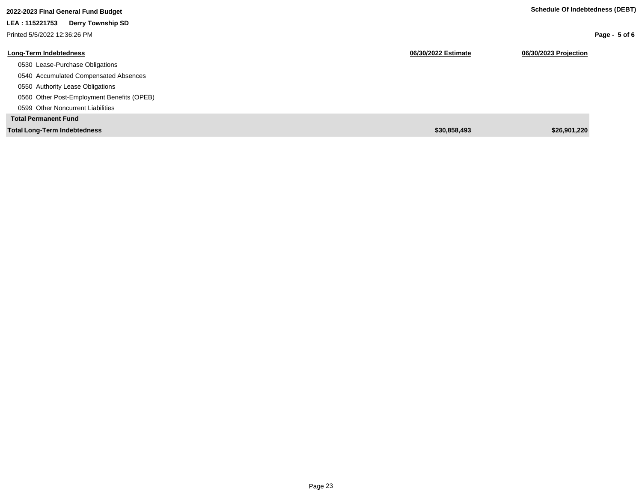| 2022-2023 Final General Fund Budget        |                     | Schedule Of Indebtedness (DEBT) |
|--------------------------------------------|---------------------|---------------------------------|
| LEA: 115221753<br><b>Derry Township SD</b> |                     |                                 |
| Printed 5/5/2022 12:36:26 PM               |                     | Page - $5$ of 6                 |
| Long-Term Indebtedness                     | 06/30/2022 Estimate | 06/30/2023 Projection           |
| 0530 Lease-Purchase Obligations            |                     |                                 |
| 0540 Accumulated Compensated Absences      |                     |                                 |
| 0550 Authority Lease Obligations           |                     |                                 |
| 0560 Other Post-Employment Benefits (OPEB) |                     |                                 |
| 0599 Other Noncurrent Liabilities          |                     |                                 |
| <b>Total Permanent Fund</b>                |                     |                                 |
| <b>Total Long-Term Indebtedness</b>        | \$30,858,493        | \$26,901,220                    |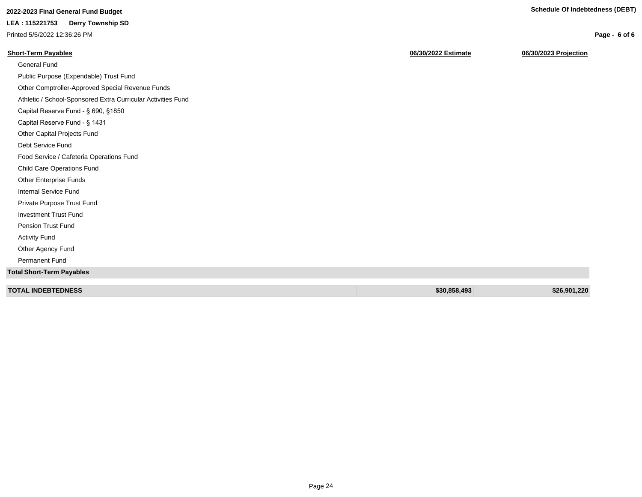**Page - 6 of 6**

## **2022-2023 Final General Fund Budget Schedule Of Indebtedness (DEBT)**

**LEA : 115221753 Derry Township SD**

Printed 5/5/2022 12:36:26 PM

| <b>Short-Term Payables</b>                                   | 06/30/2022 Estimate | 06/30/2023 Projection |
|--------------------------------------------------------------|---------------------|-----------------------|
| <b>General Fund</b>                                          |                     |                       |
| Public Purpose (Expendable) Trust Fund                       |                     |                       |
| Other Comptroller-Approved Special Revenue Funds             |                     |                       |
| Athletic / School-Sponsored Extra Curricular Activities Fund |                     |                       |
| Capital Reserve Fund - § 690, §1850                          |                     |                       |
| Capital Reserve Fund - § 1431                                |                     |                       |
| Other Capital Projects Fund                                  |                     |                       |
| Debt Service Fund                                            |                     |                       |
| Food Service / Cafeteria Operations Fund                     |                     |                       |
| Child Care Operations Fund                                   |                     |                       |
| Other Enterprise Funds                                       |                     |                       |
| Internal Service Fund                                        |                     |                       |
| Private Purpose Trust Fund                                   |                     |                       |
| <b>Investment Trust Fund</b>                                 |                     |                       |
| Pension Trust Fund                                           |                     |                       |
| <b>Activity Fund</b>                                         |                     |                       |
| Other Agency Fund                                            |                     |                       |
| <b>Permanent Fund</b>                                        |                     |                       |
| <b>Total Short-Term Payables</b>                             |                     |                       |
| <b>TOTAL INDEBTEDNESS</b>                                    | \$30,858,493        | \$26,901,220          |